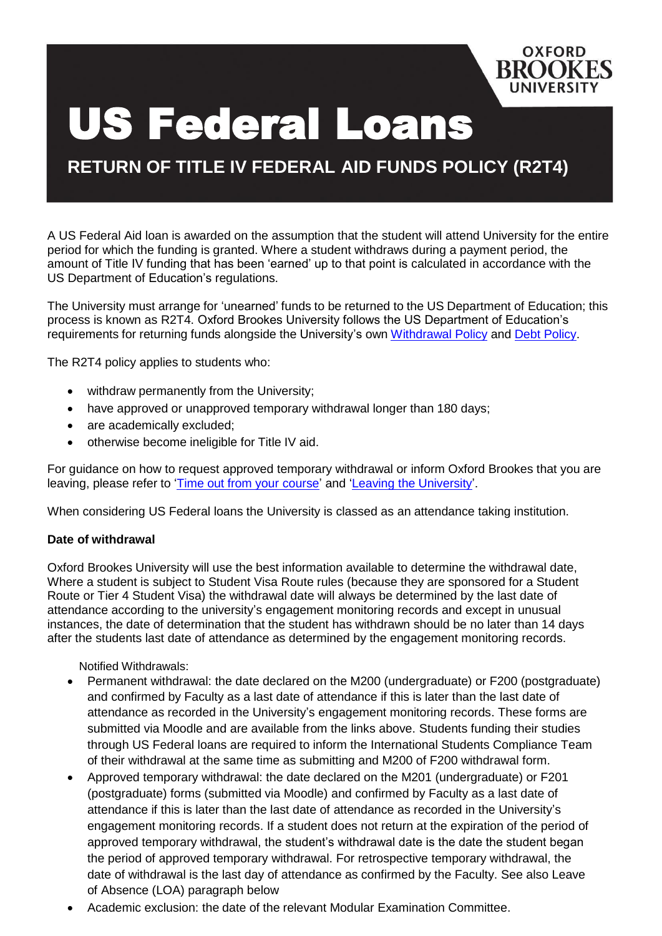

# US Federal Loans

**RETURN OF TITLE IV FEDERAL AID FUNDS POLICY (R2T4)**

A US Federal Aid loan is awarded on the assumption that the student will attend University for the entire period for which the funding is granted. Where a student withdraws during a payment period, the amount of Title IV funding that has been 'earned' up to that point is calculated in accordance with the US Department of Education's regulations.

The University must arrange for 'unearned' funds to be returned to the US Department of Education; this process is known as R2T4. Oxford Brookes University follows the US Department of Education's requirements for returning funds alongside the University's own [Withdrawal](https://www.brookes.ac.uk/regulations/assessment-and-progression/withdrawal) Policy and [Debt Policy.](https://www.brookes.ac.uk/regulations/academic-policies)

The R2T4 policy applies to students who:

- withdraw permanently from the University;
- have approved or unapproved temporary withdrawal longer than 180 days;
- are academically excluded;
- otherwise become ineligible for Title IV aid.

For guidance on how to request approved temporary withdrawal or inform Oxford Brookes that you are leaving, please refer to 'Time out [from your](https://www.brookes.ac.uk/students/your-studies/programme-advice-and-support/time-out/) course' and 'Leaving the [University'](https://www.brookes.ac.uk/students/your-studies/programme-advice-and-support/leaving-the-university/).

When considering US Federal loans the University is classed as an attendance taking institution.

### **Date of withdrawal**

Oxford Brookes University will use the best information available to determine the withdrawal date, Where a student is subject to Student Visa Route rules (because they are sponsored for a Student Route or Tier 4 Student Visa) the withdrawal date will always be determined by the last date of attendance according to the university's engagement monitoring records and except in unusual instances, the date of determination that the student has withdrawn should be no later than 14 days after the students last date of attendance as determined by the engagement monitoring records.

Notified Withdrawals:

- Permanent withdrawal: the date declared on the M200 (undergraduate) or F200 (postgraduate) and confirmed by Faculty as a last date of attendance if this is later than the last date of attendance as recorded in the University's engagement monitoring records. These forms are submitted via Moodle and are available from the links above. Students funding their studies through US Federal loans are required to inform the International Students Compliance Team of their withdrawal at the same time as submitting and M200 of F200 withdrawal form.
- Approved temporary withdrawal: the date declared on the M201 (undergraduate) or F201 (postgraduate) forms (submitted via Moodle) and confirmed by Faculty as a last date of attendance if this is later than the last date of attendance as recorded in the University's engagement monitoring records. If a student does not return at the expiration of the period of approved temporary withdrawal, the student's withdrawal date is the date the student began the period of approved temporary withdrawal. For retrospective temporary withdrawal, the date of withdrawal is the last day of attendance as confirmed by the Faculty. See also Leave of Absence (LOA) paragraph below
- Academic exclusion: the date of the relevant Modular Examination Committee.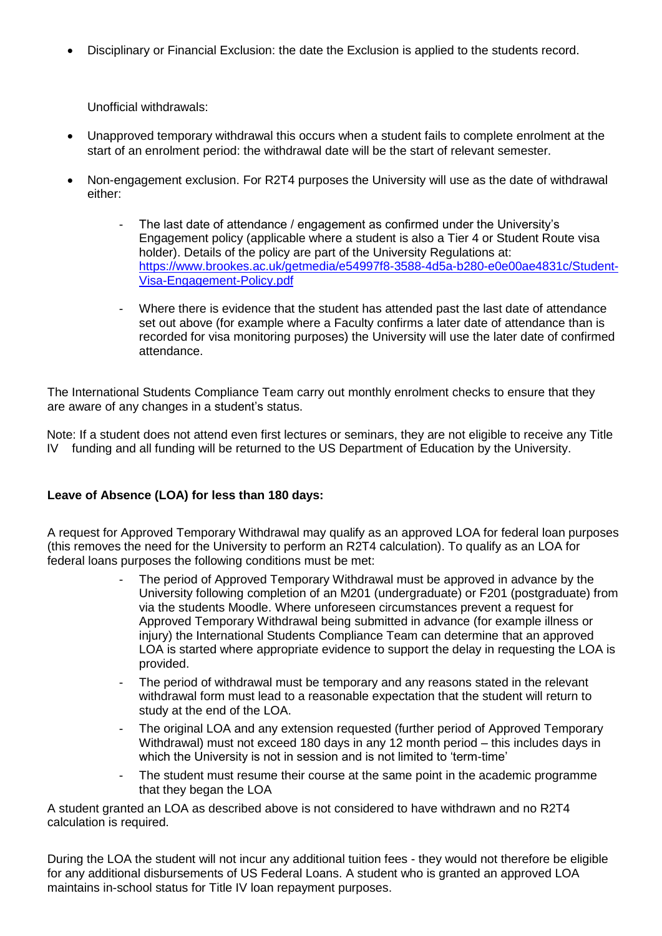Disciplinary or Financial Exclusion: the date the Exclusion is applied to the students record.

Unofficial withdrawals:

- Unapproved temporary withdrawal this occurs when a student fails to complete enrolment at the start of an enrolment period: the withdrawal date will be the start of relevant semester.
- Non-engagement exclusion. For R2T4 purposes the University will use as the date of withdrawal either:
	- The last date of attendance / engagement as confirmed under the University's Engagement policy (applicable where a student is also a Tier 4 or Student Route visa holder). Details of the policy are part of the University Regulations at: [https://www.brookes.ac.uk/getmedia/e54997f8-3588-4d5a-b280-e0e00ae4831c/Student-](https://www.brookes.ac.uk/getmedia/e54997f8-3588-4d5a-b280-e0e00ae4831c/Student-Visa-Engagement-Policy.pdf)[Visa-Engagement-Policy.pdf](https://www.brookes.ac.uk/getmedia/e54997f8-3588-4d5a-b280-e0e00ae4831c/Student-Visa-Engagement-Policy.pdf)
	- Where there is evidence that the student has attended past the last date of attendance set out above (for example where a Faculty confirms a later date of attendance than is recorded for visa monitoring purposes) the University will use the later date of confirmed attendance.

The International Students Compliance Team carry out monthly enrolment checks to ensure that they are aware of any changes in a student's status.

Note: If a student does not attend even first lectures or seminars, they are not eligible to receive any Title IV funding and all funding will be returned to the US Department of Education by the University.

# **Leave of Absence (LOA) for less than 180 days:**

A request for Approved Temporary Withdrawal may qualify as an approved LOA for federal loan purposes (this removes the need for the University to perform an R2T4 calculation). To qualify as an LOA for federal loans purposes the following conditions must be met:

- The period of Approved Temporary Withdrawal must be approved in advance by the University following completion of an M201 (undergraduate) or F201 (postgraduate) from via the students Moodle. Where unforeseen circumstances prevent a request for Approved Temporary Withdrawal being submitted in advance (for example illness or injury) the International Students Compliance Team can determine that an approved LOA is started where appropriate evidence to support the delay in requesting the LOA is provided.
- The period of withdrawal must be temporary and any reasons stated in the relevant withdrawal form must lead to a reasonable expectation that the student will return to study at the end of the LOA.
- The original LOA and any extension requested (further period of Approved Temporary Withdrawal) must not exceed 180 days in any 12 month period – this includes days in which the University is not in session and is not limited to 'term-time'
- The student must resume their course at the same point in the academic programme that they began the LOA

A student granted an LOA as described above is not considered to have withdrawn and no R2T4 calculation is required.

During the LOA the student will not incur any additional tuition fees - they would not therefore be eligible for any additional disbursements of US Federal Loans. A student who is granted an approved LOA maintains in-school status for Title IV loan repayment purposes.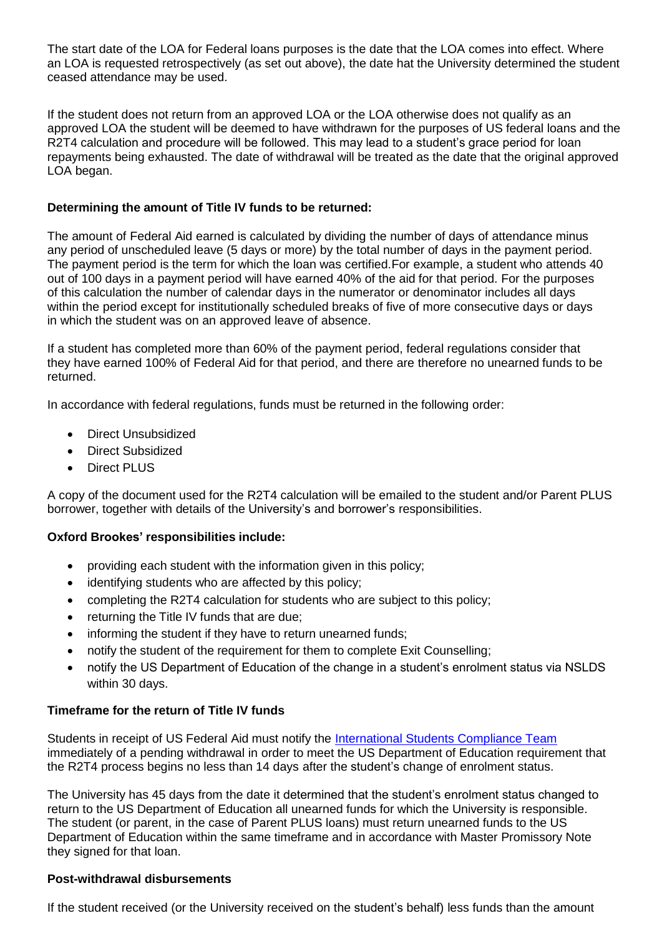The start date of the LOA for Federal loans purposes is the date that the LOA comes into effect. Where an LOA is requested retrospectively (as set out above), the date hat the University determined the student ceased attendance may be used.

If the student does not return from an approved LOA or the LOA otherwise does not qualify as an approved LOA the student will be deemed to have withdrawn for the purposes of US federal loans and the R2T4 calculation and procedure will be followed. This may lead to a student's grace period for loan repayments being exhausted. The date of withdrawal will be treated as the date that the original approved LOA began.

### **Determining the amount of Title IV funds to be returned:**

The amount of Federal Aid earned is calculated by dividing the number of days of attendance minus any period of unscheduled leave (5 days or more) by the total number of days in the payment period. The payment period is the term for which the loan was certified.For example, a student who attends 40 out of 100 days in a payment period will have earned 40% of the aid for that period. For the purposes of this calculation the number of calendar days in the numerator or denominator includes all days within the period except for institutionally scheduled breaks of five of more consecutive days or days in which the student was on an approved leave of absence.

If a student has completed more than 60% of the payment period, federal regulations consider that they have earned 100% of Federal Aid for that period, and there are therefore no unearned funds to be returned.

In accordance with federal regulations, funds must be returned in the following order:

- Direct Unsubsidized
- Direct Subsidized
- Direct PLUS

A copy of the document used for the R2T4 calculation will be emailed to the student and/or Parent PLUS borrower, together with details of the University's and borrower's responsibilities.

# **Oxford Brookes' responsibilities include:**

- providing each student with the information given in this policy;
- identifying students who are affected by this policy;
- completing the R2T4 calculation for students who are subject to this policy;
- returning the Title IV funds that are due;
- informing the student if they have to return unearned funds;
- notify the student of the requirement for them to complete Exit Counselling;
- notify the US Department of Education of the change in a student's enrolment status via NSLDS within 30 days.

### **Timeframe for the return of Title IV funds**

Students in receipt of US Federal Aid must notify the International [Students Compliance](http://www.brookes.ac.uk/studying-at-brookes/finance/financial-aid/united-states-student-loans/) Team immediately of a pending withdrawal in order to meet the US Department of Education requirement that the R2T4 process begins no less than 14 days after the student's change of enrolment status.

The University has 45 days from the date it determined that the student's enrolment status changed to return to the US Department of Education all unearned funds for which the University is responsible. The student (or parent, in the case of Parent PLUS loans) must return unearned funds to the US Department of Education within the same timeframe and in accordance with Master Promissory Note they signed for that loan.

### **Post-withdrawal disbursements**

If the student received (or the University received on the student's behalf) less funds than the amount